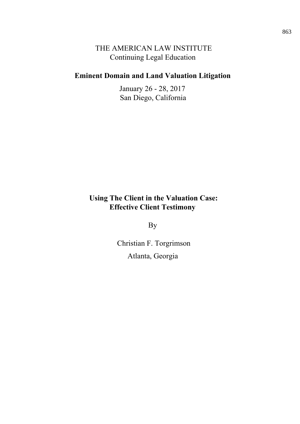## THE AMERICAN LAW INSTITUTE **Continuing Legal Education**

## **Eminent Domain and Land Valuation Litigation**

January 26 - 28, 2017 San Diego, California

## **Using The Client in the Valuation Case: Effective Client Testimony**

**By** 

Christian F. Torgrimson Atlanta, Georgia